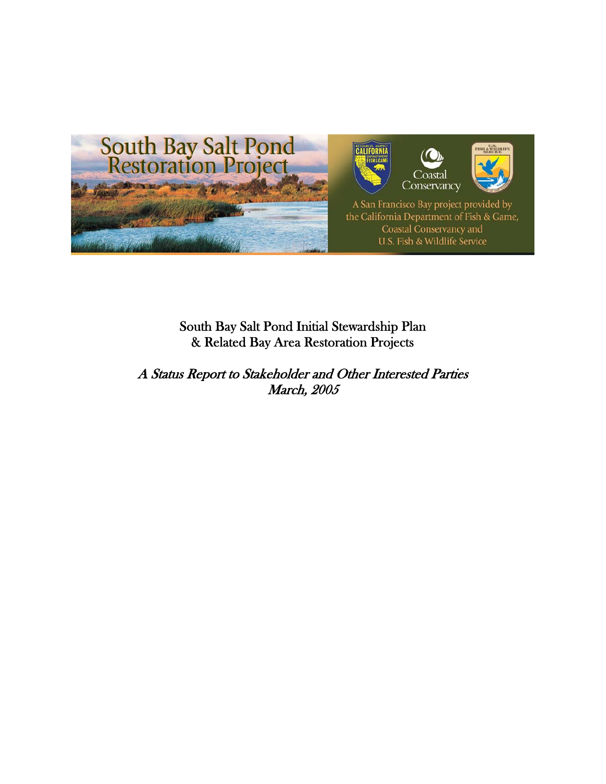

## South Bay Salt Pond Initial Stewardship Plan & Related Bay Area Restoration Projects

A Status Report to Stakeholder and Other Interested Parties March, 2005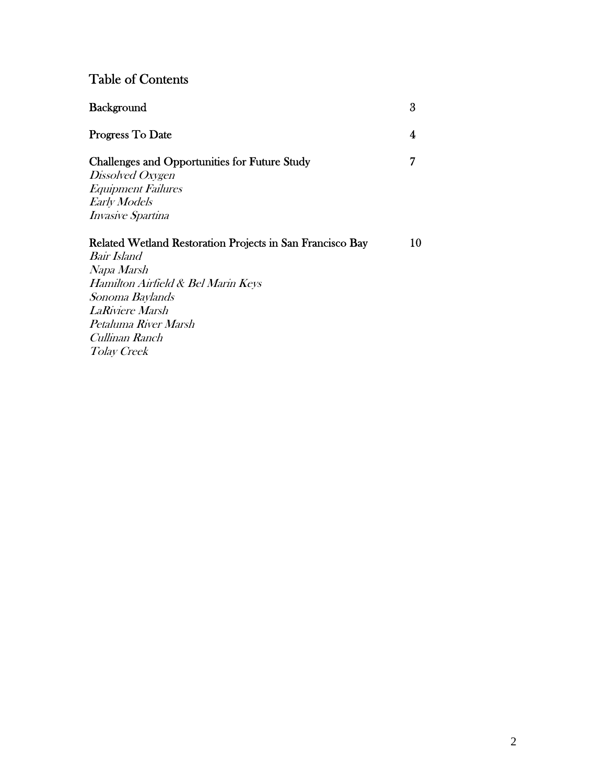# Table of Contents

| <b>Background</b>                                                                                                                                                                                                                         | 3  |
|-------------------------------------------------------------------------------------------------------------------------------------------------------------------------------------------------------------------------------------------|----|
| Progress To Date                                                                                                                                                                                                                          | 4  |
| <b>Challenges and Opportunities for Future Study</b><br>Dissolved Oxygen<br><b>Equipment Failures</b><br><b>Early Models</b><br><i>Invasive Spartina</i>                                                                                  | 7  |
| Related Wetland Restoration Projects in San Francisco Bay<br>Bair Island<br>Napa Marsh<br>Hamilton Airfield & Bel Marin Keys<br>Sonoma Baylands<br><b>LaRiviere Marsh</b><br>Petaluma River Marsh<br>Cullinan Ranch<br><i>Tolay Creek</i> | 10 |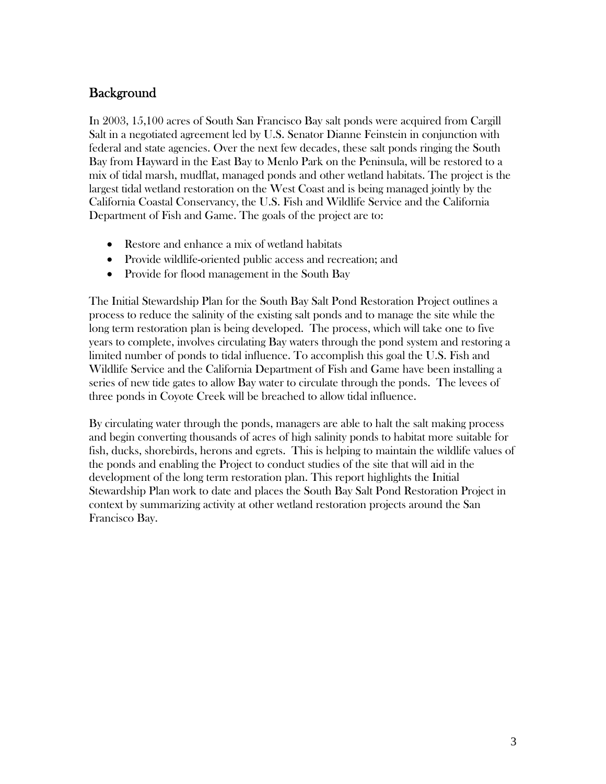## **Background**

In 2003, 15,100 acres of South San Francisco Bay salt ponds were acquired from Cargill Salt in a negotiated agreement led by U.S. Senator Dianne Feinstein in conjunction with federal and state agencies. Over the next few decades, these salt ponds ringing the South Bay from Hayward in the East Bay to Menlo Park on the Peninsula, will be restored to a mix of tidal marsh, mudflat, managed ponds and other wetland habitats. The project is the largest tidal wetland restoration on the West Coast and is being managed jointly by the California Coastal Conservancy, the U.S. Fish and Wildlife Service and the California Department of Fish and Game. The goals of the project are to:

- Restore and enhance a mix of wetland habitats
- Provide wildlife-oriented public access and recreation; and
- Provide for flood management in the South Bay

The Initial Stewardship Plan for the South Bay Salt Pond Restoration Project outlines a process to reduce the salinity of the existing salt ponds and to manage the site while the long term restoration plan is being developed. The process, which will take one to five years to complete, involves circulating Bay waters through the pond system and restoring a limited number of ponds to tidal influence. To accomplish this goal the U.S. Fish and Wildlife Service and the California Department of Fish and Game have been installing a series of new tide gates to allow Bay water to circulate through the ponds. The levees of three ponds in Coyote Creek will be breached to allow tidal influence.

By circulating water through the ponds, managers are able to halt the salt making process and begin converting thousands of acres of high salinity ponds to habitat more suitable for fish, ducks, shorebirds, herons and egrets. This is helping to maintain the wildlife values of the ponds and enabling the Project to conduct studies of the site that will aid in the development of the long term restoration plan. This report highlights the Initial Stewardship Plan work to date and places the South Bay Salt Pond Restoration Project in context by summarizing activity at other wetland restoration projects around the San Francisco Bay.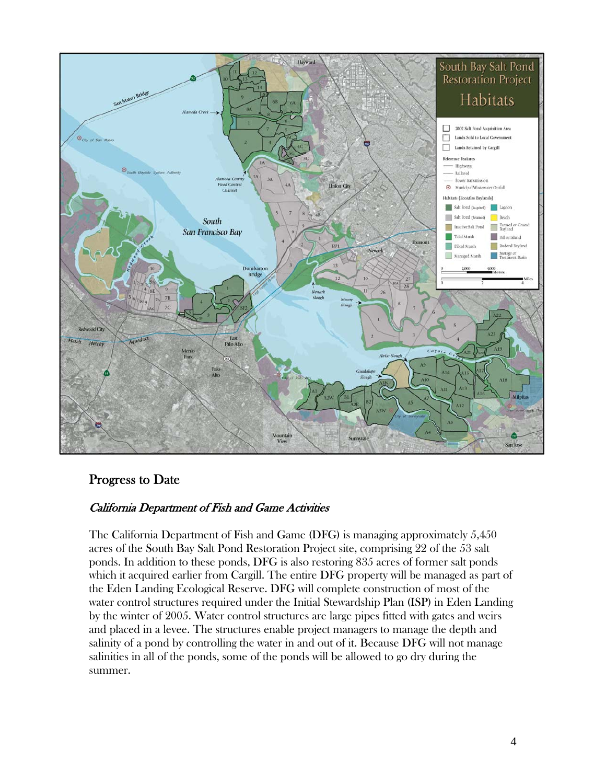

## Progress to Date

#### California Department of Fish and Game Activities

The California Department of Fish and Game (DFG) is managing approximately 5,450 acres of the South Bay Salt Pond Restoration Project site, comprising 22 of the 53 salt ponds. In addition to these ponds, DFG is also restoring 835 acres of former salt ponds which it acquired earlier from Cargill. The entire DFG property will be managed as part of the Eden Landing Ecological Reserve. DFG will complete construction of most of the water control structures required under the Initial Stewardship Plan (ISP) in Eden Landing by the winter of 2005. Water control structures are large pipes fitted with gates and weirs and placed in a levee. The structures enable project managers to manage the depth and salinity of a pond by controlling the water in and out of it. Because DFG will not manage salinities in all of the ponds, some of the ponds will be allowed to go dry during the summer.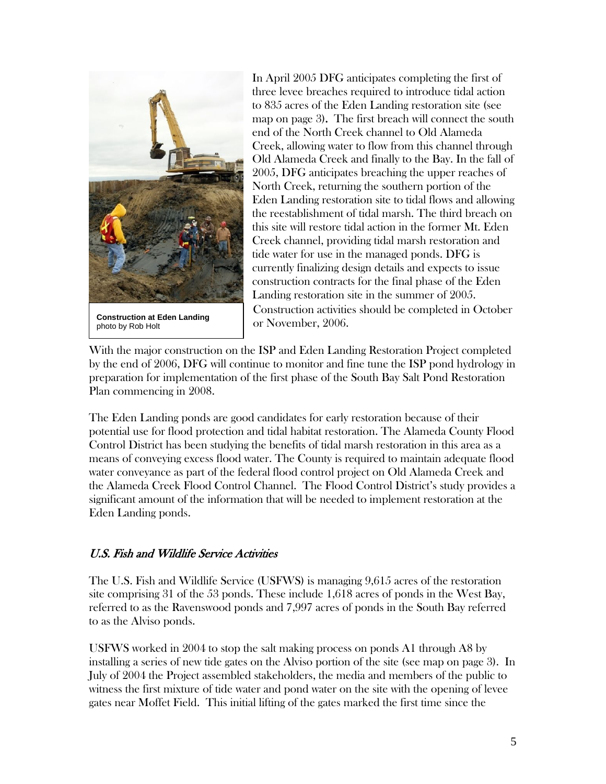

**Construction at Eden Landing**<br>
photo by Rob Holt<br> **Construction at Eden Landing** photo by Rob Holt

In April 2005 DFG anticipates completing the first of three levee breaches required to introduce tidal action to 835 acres of the Eden Landing restoration site (see map on page 3). The first breach will connect the south end of the North Creek channel to Old Alameda Creek, allowing water to flow from this channel through Old Alameda Creek and finally to the Bay. In the fall of 2005, DFG anticipates breaching the upper reaches of North Creek, returning the southern portion of the Eden Landing restoration site to tidal flows and allowing the reestablishment of tidal marsh. The third breach on this site will restore tidal action in the former Mt. Eden Creek channel, providing tidal marsh restoration and tide water for use in the managed ponds. DFG is currently finalizing design details and expects to issue construction contracts for the final phase of the Eden Landing restoration site in the summer of 2005. Construction activities should be completed in October

With the major construction on the ISP and Eden Landing Restoration Project completed by the end of 2006, DFG will continue to monitor and fine tune the ISP pond hydrology in preparation for implementation of the first phase of the South Bay Salt Pond Restoration Plan commencing in 2008.

The Eden Landing ponds are good candidates for early restoration because of their potential use for flood protection and tidal habitat restoration. The Alameda County Flood Control District has been studying the benefits of tidal marsh restoration in this area as a means of conveying excess flood water. The County is required to maintain adequate flood water conveyance as part of the federal flood control project on Old Alameda Creek and the Alameda Creek Flood Control Channel. The Flood Control District's study provides a significant amount of the information that will be needed to implement restoration at the Eden Landing ponds.

#### U.S. Fish and Wildlife Service Activities

The U.S. Fish and Wildlife Service (USFWS) is managing 9,615 acres of the restoration site comprising 31 of the 53 ponds. These include 1,618 acres of ponds in the West Bay, referred to as the Ravenswood ponds and 7,997 acres of ponds in the South Bay referred to as the Alviso ponds.

USFWS worked in 2004 to stop the salt making process on ponds A1 through A8 by installing a series of new tide gates on the Alviso portion of the site (see map on page 3). In July of 2004 the Project assembled stakeholders, the media and members of the public to witness the first mixture of tide water and pond water on the site with the opening of levee gates near Moffet Field. This initial lifting of the gates marked the first time since the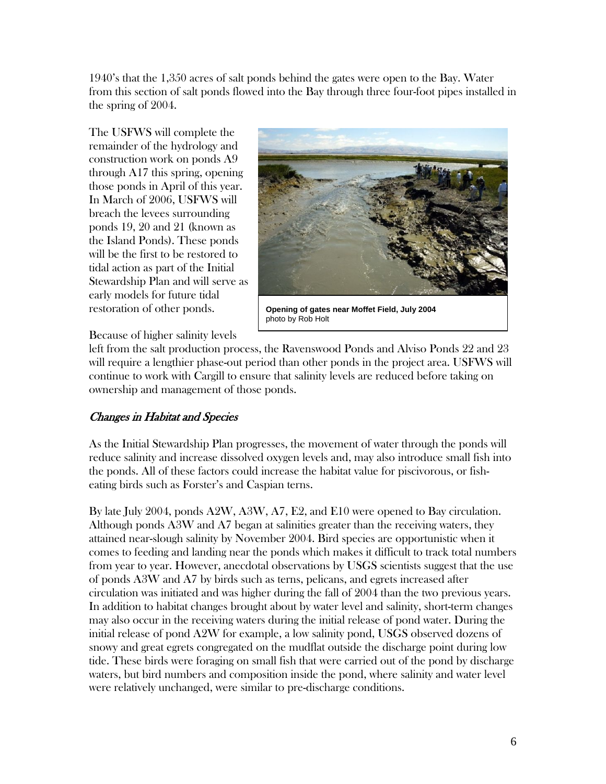1940's that the 1,350 acres of salt ponds behind the gates were open to the Bay. Water from this section of salt ponds flowed into the Bay through three four-foot pipes installed in the spring of 2004.

The USFWS will complete the remainder of the hydrology and construction work on ponds A9 through A17 this spring, opening those ponds in April of this year. In March of 2006, USFWS will breach the levees surrounding ponds 19, 20 and 21 (known as the Island Ponds). These ponds will be the first to be restored to tidal action as part of the Initial Stewardship Plan and will serve as early models for future tidal restoration of other ponds.



**Opening of gates near Moffet Field, July 2004**  photo by Rob Holt

Because of higher salinity levels

left from the salt production process, the Ravenswood Ponds and Alviso Ponds 22 and 23 will require a lengthier phase-out period than other ponds in the project area. USFWS will continue to work with Cargill to ensure that salinity levels are reduced before taking on ownership and management of those ponds.

#### Changes in Habitat and Species

As the Initial Stewardship Plan progresses, the movement of water through the ponds will reduce salinity and increase dissolved oxygen levels and, may also introduce small fish into the ponds. All of these factors could increase the habitat value for piscivorous, or fisheating birds such as Forster's and Caspian terns.

By late July 2004, ponds A2W, A3W, A7, E2, and E10 were opened to Bay circulation. Although ponds A3W and A7 began at salinities greater than the receiving waters, they attained near-slough salinity by November 2004. Bird species are opportunistic when it comes to feeding and landing near the ponds which makes it difficult to track total numbers from year to year. However, anecdotal observations by USGS scientists suggest that the use of ponds A3W and A7 by birds such as terns, pelicans, and egrets increased after circulation was initiated and was higher during the fall of 2004 than the two previous years. In addition to habitat changes brought about by water level and salinity, short-term changes may also occur in the receiving waters during the initial release of pond water. During the initial release of pond A2W for example, a low salinity pond, USGS observed dozens of snowy and great egrets congregated on the mudflat outside the discharge point during low tide. These birds were foraging on small fish that were carried out of the pond by discharge waters, but bird numbers and composition inside the pond, where salinity and water level were relatively unchanged, were similar to pre-discharge conditions.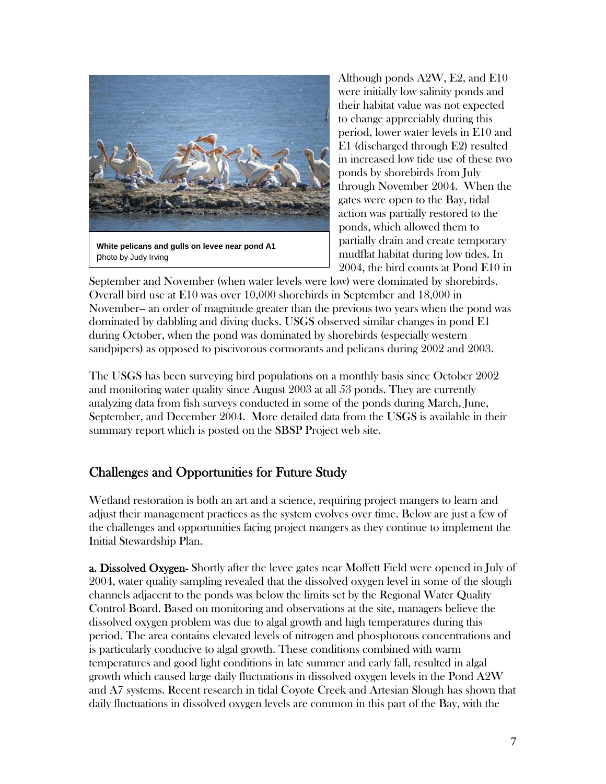

Although ponds A2W, E2, and E10 were initially low salinity ponds and their habitat value was not expected to change appreciably during this period, lower water levels in E10 and E1 (discharged through E2) resulted in increased low tide use of these two ponds by shorebirds from July through November 2004. When the gates were open to the Bay, tidal action was partially restored to the ponds, which allowed them to partially drain and create temporary mudflat habitat during low tides. In 2004, the bird counts at Pond E10 in

September and November (when water levels were low) were dominated by shorebirds. Overall bird use at E10 was over 10,000 shorebirds in September and 18,000 in November-- an order of magnitude greater than the previous two years when the pond was dominated by dabbling and diving ducks. USGS observed similar changes in pond E1 during October, when the pond was dominated by shorebirds (especially western sandpipers) as opposed to piscivorous cormorants and pelicans during 2002 and 2003.

The USGS has been surveying bird populations on a monthly basis since October 2002 and monitoring water quality since August 2003 at all 53 ponds. They are currently analyzing data from fish surveys conducted in some of the ponds during March, June, September, and December 2004. More detailed data from the USGS is available in their summary report which is posted on the SBSP Project web site.

## Challenges and Opportunities for Future Study

Wetland restoration is both an art and a science, requiring project mangers to learn and adjust their management practices as the system evolves over time. Below are just a few of the challenges and opportunities facing project mangers as they continue to implement the Initial Stewardship Plan.

**a. Dissolved Oxygen-** Shortly after the levee gates near Moffett Field were opened in July of 2004, water quality sampling revealed that the dissolved oxygen level in some of the slough channels adjacent to the ponds was below the limits set by the Regional Water Quality Control Board. Based on monitoring and observations at the site, managers believe the dissolved oxygen problem was due to algal growth and high temperatures during this period. The area contains elevated levels of nitrogen and phosphorous concentrations and is particularly conducive to algal growth. These conditions combined with warm temperatures and good light conditions in late summer and early fall, resulted in algal growth which caused large daily fluctuations in dissolved oxygen levels in the Pond A2W and A7 systems. Recent research in tidal Coyote Creek and Artesian Slough has shown that daily fluctuations in dissolved oxygen levels are common in this part of the Bay, with the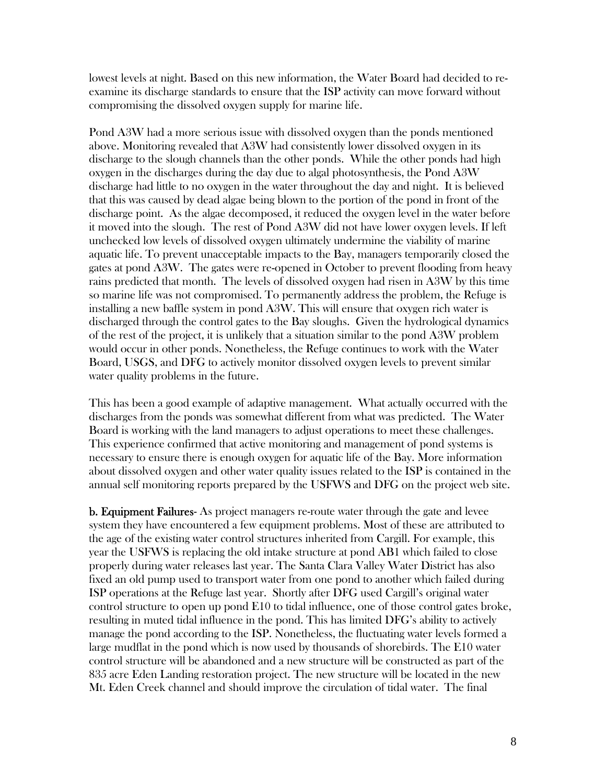lowest levels at night. Based on this new information, the Water Board had decided to reexamine its discharge standards to ensure that the ISP activity can move forward without compromising the dissolved oxygen supply for marine life.

Pond A3W had a more serious issue with dissolved oxygen than the ponds mentioned above. Monitoring revealed that A3W had consistently lower dissolved oxygen in its discharge to the slough channels than the other ponds. While the other ponds had high oxygen in the discharges during the day due to algal photosynthesis, the Pond A3W discharge had little to no oxygen in the water throughout the day and night. It is believed that this was caused by dead algae being blown to the portion of the pond in front of the discharge point. As the algae decomposed, it reduced the oxygen level in the water before it moved into the slough. The rest of Pond A3W did not have lower oxygen levels. If left unchecked low levels of dissolved oxygen ultimately undermine the viability of marine aquatic life. To prevent unacceptable impacts to the Bay, managers temporarily closed the gates at pond A3W. The gates were re-opened in October to prevent flooding from heavy rains predicted that month. The levels of dissolved oxygen had risen in A3W by this time so marine life was not compromised. To permanently address the problem, the Refuge is installing a new baffle system in pond A3W. This will ensure that oxygen rich water is discharged through the control gates to the Bay sloughs. Given the hydrological dynamics of the rest of the project, it is unlikely that a situation similar to the pond A3W problem would occur in other ponds. Nonetheless, the Refuge continues to work with the Water Board, USGS, and DFG to actively monitor dissolved oxygen levels to prevent similar water quality problems in the future.

This has been a good example of adaptive management. What actually occurred with the discharges from the ponds was somewhat different from what was predicted. The Water Board is working with the land managers to adjust operations to meet these challenges. This experience confirmed that active monitoring and management of pond systems is necessary to ensure there is enough oxygen for aquatic life of the Bay. More information about dissolved oxygen and other water quality issues related to the ISP is contained in the annual self monitoring reports prepared by the USFWS and DFG on the project web site.

**b. Equipment Failures-** As project managers re-route water through the gate and levee system they have encountered a few equipment problems. Most of these are attributed to the age of the existing water control structures inherited from Cargill. For example, this year the USFWS is replacing the old intake structure at pond AB1 which failed to close properly during water releases last year. The Santa Clara Valley Water District has also fixed an old pump used to transport water from one pond to another which failed during ISP operations at the Refuge last year. Shortly after DFG used Cargill's original water control structure to open up pond E10 to tidal influence, one of those control gates broke, resulting in muted tidal influence in the pond. This has limited DFG's ability to actively manage the pond according to the ISP. Nonetheless, the fluctuating water levels formed a large mudflat in the pond which is now used by thousands of shorebirds. The E10 water control structure will be abandoned and a new structure will be constructed as part of the 835 acre Eden Landing restoration project. The new structure will be located in the new Mt. Eden Creek channel and should improve the circulation of tidal water. The final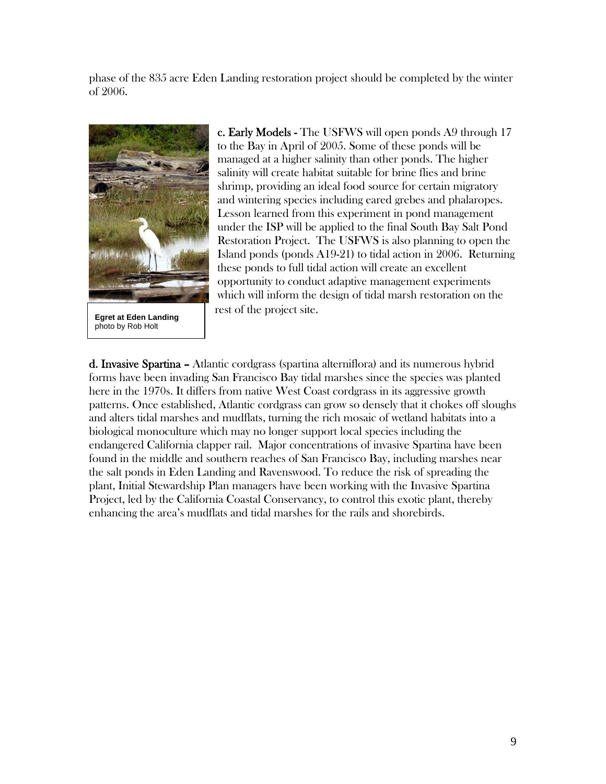phase of the 835 acre Eden Landing restoration project should be completed by the winter of 2006.



photo by Rob Holt

c. Early Models - The USFWS will open ponds A9 through 17 to the Bay in April of 2005. Some of these ponds will be managed at a higher salinity than other ponds. The higher salinity will create habitat suitable for brine flies and brine shrimp, providing an ideal food source for certain migratory and wintering species including eared grebes and phalaropes. Lesson learned from this experiment in pond management under the ISP will be applied to the final South Bay Salt Pond Restoration Project. The USFWS is also planning to open the Island ponds (ponds A19-21) to tidal action in 2006. Returning these ponds to full tidal action will create an excellent opportunity to conduct adaptive management experiments which will inform the design of tidal marsh restoration on the **Egret at Eden Landing** rest of the project site.

d. Invasive Spartina - Atlantic cordgrass (spartina alterniflora) and its numerous hybrid forms have been invading San Francisco Bay tidal marshes since the species was planted here in the 1970s. It differs from native West Coast cordgrass in its aggressive growth patterns. Once established, Atlantic cordgrass can grow so densely that it chokes off sloughs and alters tidal marshes and mudflats, turning the rich mosaic of wetland habitats into a biological monoculture which may no longer support local species including the endangered California clapper rail. Major concentrations of invasive Spartina have been found in the middle and southern reaches of San Francisco Bay, including marshes near the salt ponds in Eden Landing and Ravenswood. To reduce the risk of spreading the plant, Initial Stewardship Plan managers have been working with the Invasive Spartina Project, led by the California Coastal Conservancy, to control this exotic plant, thereby enhancing the area's mudflats and tidal marshes for the rails and shorebirds.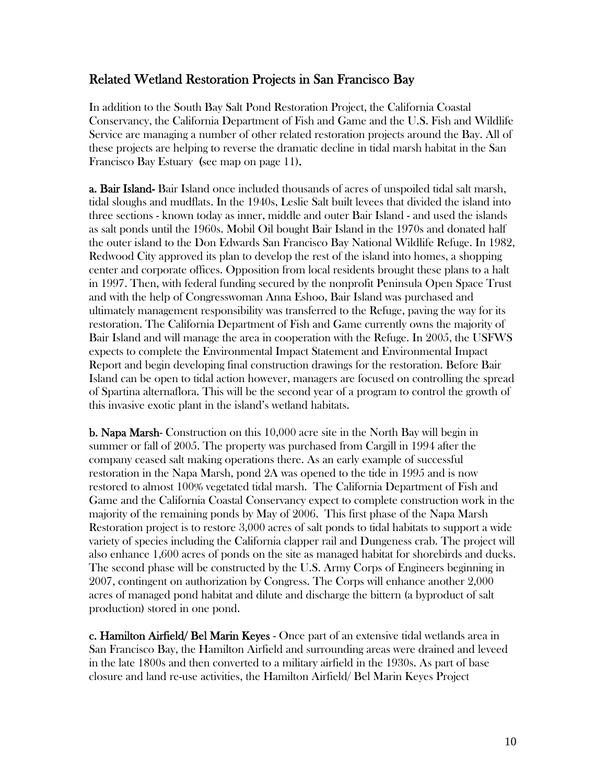#### Related Wetland Restoration Projects in San Francisco Bay

In addition to the South Bay Salt Pond Restoration Project, the California Coastal Conservancy, the California Department of Fish and Game and the U.S. Fish and Wildlife Service are managing a number of other related restoration projects around the Bay. All of these projects are helping to reverse the dramatic decline in tidal marsh habitat in the San Francisco Bay Estuary (see map on page 11).

a. Bair Island- Bair Island once included thousands of acres of unspoiled tidal salt marsh, tidal sloughs and mudflats. In the 1940s, Leslie Salt built levees that divided the island into three sections - known today as inner, middle and outer Bair Island - and used the islands as salt ponds until the 1960s. Mobil Oil bought Bair Island in the 1970s and donated half the outer island to the Don Edwards San Francisco Bay National Wildlife Refuge. In 1982, Redwood City approved its plan to develop the rest of the island into homes, a shopping center and corporate offices. Opposition from local residents brought these plans to a halt in 1997. Then, with federal funding secured by the nonprofit Peninsula Open Space Trust and with the help of Congresswoman Anna Eshoo, Bair Island was purchased and ultimately management responsibility was transferred to the Refuge, paving the way for its restoration. The California Department of Fish and Game currently owns the majority of Bair Island and will manage the area in cooperation with the Refuge. In 2005, the USFWS expects to complete the Environmental Impact Statement and Environmental Impact Report and begin developing final construction drawings for the restoration. Before Bair Island can be open to tidal action however, managers are focused on controlling the spread of Spartina alternaflora. This will be the second year of a program to control the growth of this invasive exotic plant in the island's wetland habitats.

**b. Napa Marsh-** Construction on this 10,000 acre site in the North Bay will begin in summer or fall of 2005. The property was purchased from Cargill in 1994 after the company ceased salt making operations there. As an early example of successful restoration in the Napa Marsh, pond 2A was opened to the tide in 1995 and is now restored to almost 100% vegetated tidal marsh. The California Department of Fish and Game and the California Coastal Conservancy expect to complete construction work in the majority of the remaining ponds by May of 2006. This first phase of the Napa Marsh Restoration project is to restore 3,000 acres of salt ponds to tidal habitats to support a wide variety of species including the California clapper rail and Dungeness crab. The project will also enhance 1,600 acres of ponds on the site as managed habitat for shorebirds and ducks. The second phase will be constructed by the U.S. Army Corps of Engineers beginning in 2007, contingent on authorization by Congress. The Corps will enhance another 2,000 acres of managed pond habitat and dilute and discharge the bittern (a byproduct of salt production) stored in one pond.

c. Hamilton Airfield/ Bel Marin Keyes - Once part of an extensive tidal wetlands area in San Francisco Bay, the Hamilton Airfield and surrounding areas were drained and leveed in the late 1800s and then converted to a military airfield in the 1930s. As part of base closure and land re-use activities, the Hamilton Airfield/ Bel Marin Keyes Project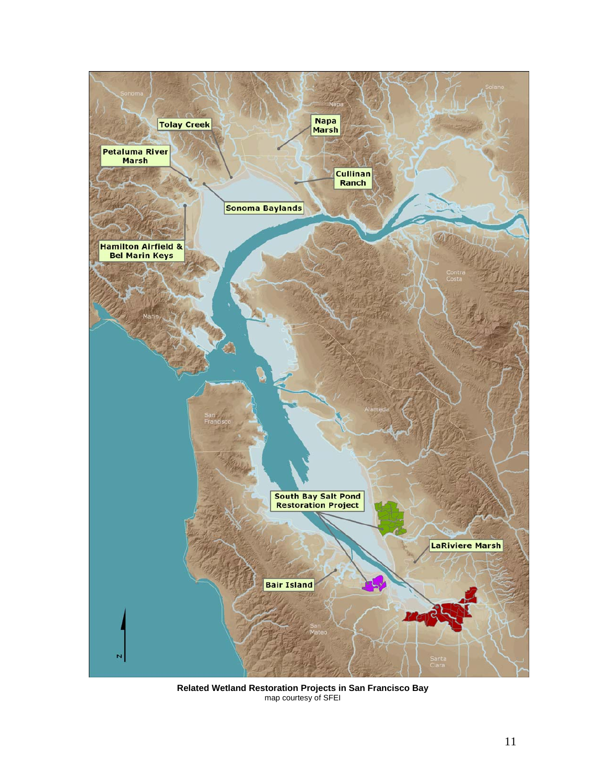

**Related Wetland Restoration Projects in San Francisco Bay**  map courtesy of SFEI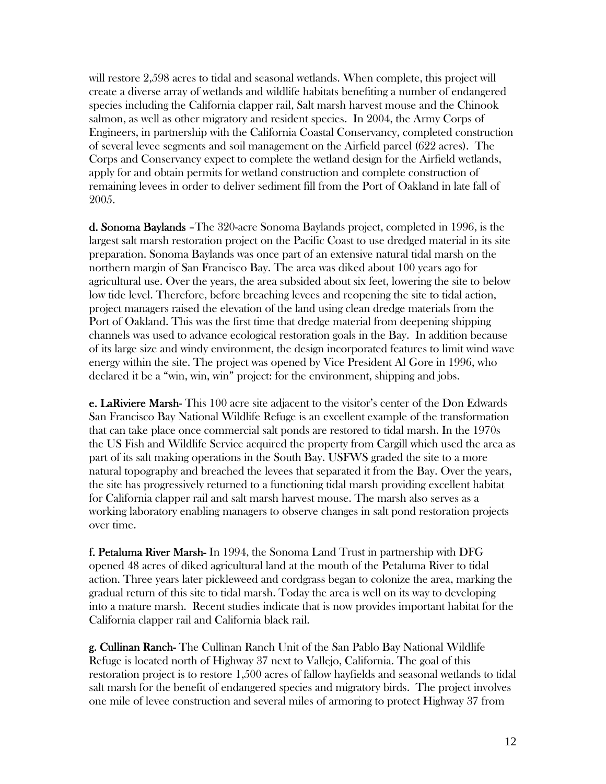will restore 2,598 acres to tidal and seasonal wetlands. When complete, this project will create a diverse array of wetlands and wildlife habitats benefiting a number of endangered species including the California clapper rail, Salt marsh harvest mouse and the Chinook salmon, as well as other migratory and resident species. In 2004, the Army Corps of Engineers, in partnership with the California Coastal Conservancy, completed construction of several levee segments and soil management on the Airfield parcel (622 acres). The Corps and Conservancy expect to complete the wetland design for the Airfield wetlands, apply for and obtain permits for wetland construction and complete construction of remaining levees in order to deliver sediment fill from the Port of Oakland in late fall of 2005.

d. Sonoma Baylands –The 320-acre Sonoma Baylands project, completed in 1996, is the largest salt marsh restoration project on the Pacific Coast to use dredged material in its site preparation. Sonoma Baylands was once part of an extensive natural tidal marsh on the northern margin of San Francisco Bay. The area was diked about 100 years ago for agricultural use. Over the years, the area subsided about six feet, lowering the site to below low tide level. Therefore, before breaching levees and reopening the site to tidal action, project managers raised the elevation of the land using clean dredge materials from the Port of Oakland. This was the first time that dredge material from deepening shipping channels was used to advance ecological restoration goals in the Bay. In addition because of its large size and windy environment, the design incorporated features to limit wind wave energy within the site. The project was opened by Vice President Al Gore in 1996, who declared it be a "win, win, win" project: for the environment, shipping and jobs.

e. LaRiviere Marsh- This 100 acre site adjacent to the visitor's center of the Don Edwards San Francisco Bay National Wildlife Refuge is an excellent example of the transformation that can take place once commercial salt ponds are restored to tidal marsh. In the 1970s the US Fish and Wildlife Service acquired the property from Cargill which used the area as part of its salt making operations in the South Bay. USFWS graded the site to a more natural topography and breached the levees that separated it from the Bay. Over the years, the site has progressively returned to a functioning tidal marsh providing excellent habitat for California clapper rail and salt marsh harvest mouse. The marsh also serves as a working laboratory enabling managers to observe changes in salt pond restoration projects over time.

f. Petaluma River Marsh- In 1994, the Sonoma Land Trust in partnership with DFG opened 48 acres of diked agricultural land at the mouth of the Petaluma River to tidal action. Three years later pickleweed and cordgrass began to colonize the area, marking the gradual return of this site to tidal marsh. Today the area is well on its way to developing into a mature marsh. Recent studies indicate that is now provides important habitat for the California clapper rail and California black rail.

g. Cullinan Ranch- The Cullinan Ranch Unit of the San Pablo Bay National Wildlife Refuge is located north of Highway 37 next to Vallejo, California. The goal of this restoration project is to restore 1,500 acres of fallow hayfields and seasonal wetlands to tidal salt marsh for the benefit of endangered species and migratory birds. The project involves one mile of levee construction and several miles of armoring to protect Highway 37 from